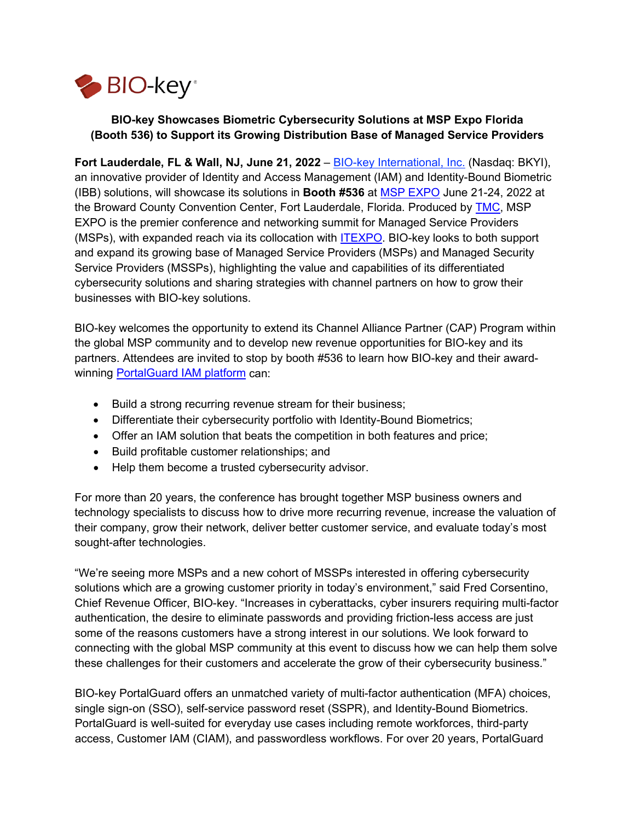

# **BIO-key Showcases Biometric Cybersecurity Solutions at MSP Expo Florida (Booth 536) to Support its Growing Distribution Base of Managed Service Providers**

**Fort Lauderdale, FL & Wall, NJ, June 21, 2022** – [BIO-key International, Inc.](https://www.bio-key.com/portalguard/) (Nasdaq: BKYI), an innovative provider of Identity and Access Management (IAM) and Identity-Bound Biometric (IBB) solutions, will showcase its solutions in **Booth #536** at [MSP EXPO](http://www.mspexpo.com/) June 21-24, 2022 at the Broward County Convention Center, Fort Lauderdale, Florida. Produced by [TMC,](http://www.tmcnet.com/) MSP EXPO is the premier conference and networking summit for Managed Service Providers (MSPs), with expanded reach via its collocation with [ITEXPO.](http://www.itexpo.com/) BIO-key looks to both support and expand its growing base of Managed Service Providers (MSPs) and Managed Security Service Providers (MSSPs), highlighting the value and capabilities of its differentiated cybersecurity solutions and sharing strategies with channel partners on how to grow their businesses with BIO-key solutions.

BIO-key welcomes the opportunity to extend its Channel Alliance Partner (CAP) Program within the global MSP community and to develop new revenue opportunities for BIO-key and its partners. Attendees are invited to stop by booth #536 to learn how BIO-key and their awardwinning [PortalGuard IAM platform](https://www.bio-key.com/portalguard/) can:

- Build a strong recurring revenue stream for their business;
- Differentiate their cybersecurity portfolio with Identity-Bound Biometrics;
- Offer an IAM solution that beats the competition in both features and price;
- Build profitable customer relationships; and
- Help them become a trusted cybersecurity advisor.

For more than 20 years, the conference has brought together MSP business owners and technology specialists to discuss how to drive more recurring revenue, increase the valuation of their company, grow their network, deliver better customer service, and evaluate today's most sought-after technologies.

"We're seeing more MSPs and a new cohort of MSSPs interested in offering cybersecurity solutions which are a growing customer priority in today's environment," said Fred Corsentino, Chief Revenue Officer, BIO-key. "Increases in cyberattacks, cyber insurers requiring multi-factor authentication, the desire to eliminate passwords and providing friction-less access are just some of the reasons customers have a strong interest in our solutions. We look forward to connecting with the global MSP community at this event to discuss how we can help them solve these challenges for their customers and accelerate the grow of their cybersecurity business."

BIO-key PortalGuard offers an unmatched variety of multi-factor authentication (MFA) choices, single sign-on (SSO), self-service password reset (SSPR), and Identity-Bound Biometrics. PortalGuard is well-suited for everyday use cases including remote workforces, third-party access, Customer IAM (CIAM), and passwordless workflows. For over 20 years, PortalGuard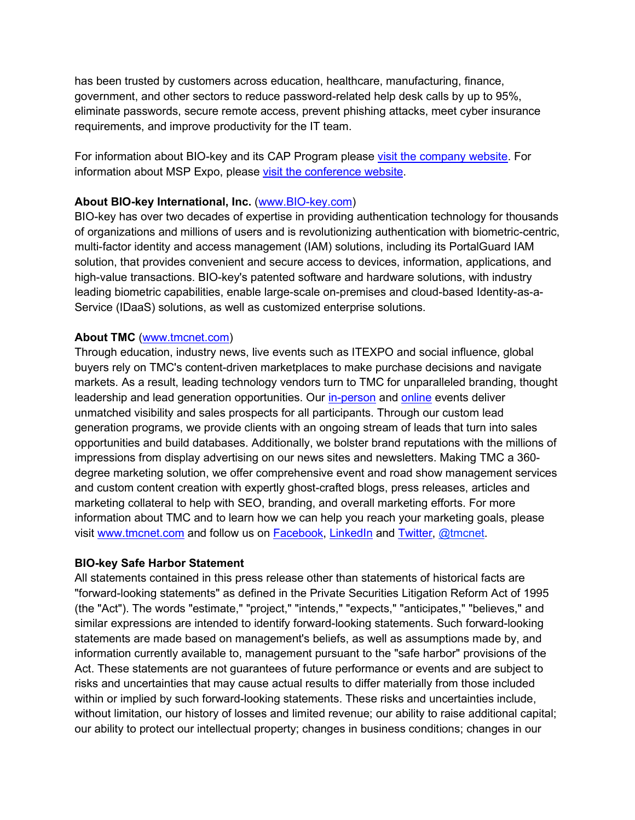has been trusted by customers across education, healthcare, manufacturing, finance, government, and other sectors to reduce password-related help desk calls by up to 95%, eliminate passwords, secure remote access, prevent phishing attacks, meet cyber insurance requirements, and improve productivity for the IT team.

For information about BIO-key and its CAP Program please visit [the company website.](https://www.bio-key.com/partners/) For information about MSP Expo, please [visit the conference website.](http://www.mspexpo.com/)

### **About BIO-key International, Inc.** [\(www.BIO-key.com\)](https://www.bio-key.com/)

BIO-key has over two decades of expertise in providing authentication technology for thousands of organizations and millions of users and is revolutionizing authentication with biometric-centric, multi-factor identity and access management (IAM) solutions, including its PortalGuard IAM solution, that provides convenient and secure access to devices, information, applications, and high-value transactions. BIO-key's patented software and hardware solutions, with industry leading biometric capabilities, enable large-scale on-premises and cloud-based Identity-as-a-Service (IDaaS) solutions, as well as customized enterprise solutions.

#### **About TMC** [\(www.tmcnet.com\)](http://www.tmcnet.com/)

Through education, industry news, live events such as ITEXPO and social influence, global buyers rely on TMC's content-driven marketplaces to make purchase decisions and navigate markets. As a result, leading technology vendors turn to TMC for unparalleled branding, thought leadership and lead generation opportunities. Our [in-person](http://www.tmcnet.com/tmcnet/futureshows.aspx) and [online](http://www.tmcnet.com/webinar/) events deliver unmatched visibility and sales prospects for all participants. Through our custom lead generation programs, we provide clients with an ongoing stream of leads that turn into sales opportunities and build databases. Additionally, we bolster brand reputations with the millions of impressions from display advertising on our news sites and newsletters. Making TMC a 360 degree marketing solution, we offer comprehensive event and road show management services and custom content creation with expertly ghost-crafted blogs, press releases, articles and marketing collateral to help with SEO, branding, and overall marketing efforts. For more information about TMC and to learn how we can help you reach your marketing goals, please visit [www.tmcnet.com](http://www.tmcnet.com/) and follow us on [Facebook,](https://www.facebook.com/tmcnetcom) [LinkedIn](https://www.linkedin.com/groups/3878220/profile) and [Twitter, @tmcnet.](https://twitter.com/tmcnet)

#### **BIO-key Safe Harbor Statement**

All statements contained in this press release other than statements of historical facts are "forward-looking statements" as defined in the Private Securities Litigation Reform Act of 1995 (the "Act"). The words "estimate," "project," "intends," "expects," "anticipates," "believes," and similar expressions are intended to identify forward-looking statements. Such forward-looking statements are made based on management's beliefs, as well as assumptions made by, and information currently available to, management pursuant to the "safe harbor" provisions of the Act. These statements are not guarantees of future performance or events and are subject to risks and uncertainties that may cause actual results to differ materially from those included within or implied by such forward-looking statements. These risks and uncertainties include, without limitation, our history of losses and limited revenue; our ability to raise additional capital; our ability to protect our intellectual property; changes in business conditions; changes in our